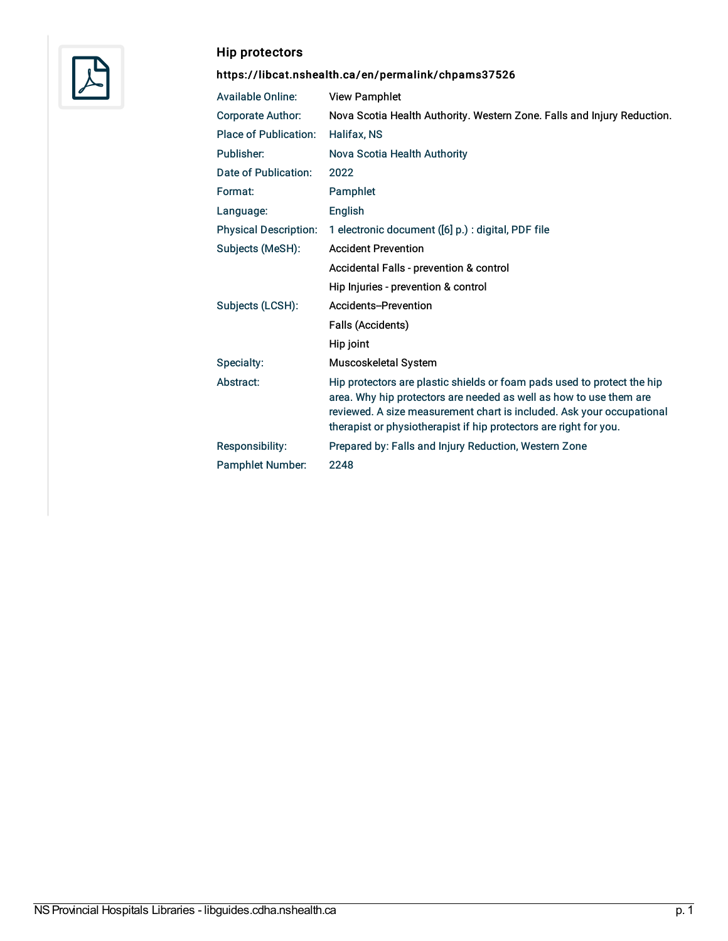

#### Hip protectors

| <b>Available Online:</b>     | <b>View Pamphlet</b>                                                                                                                                                                                                                                                                        |
|------------------------------|---------------------------------------------------------------------------------------------------------------------------------------------------------------------------------------------------------------------------------------------------------------------------------------------|
| <b>Corporate Author:</b>     | Nova Scotia Health Authority. Western Zone. Falls and Injury Reduction.                                                                                                                                                                                                                     |
| <b>Place of Publication:</b> | Halifax, NS                                                                                                                                                                                                                                                                                 |
| Publisher:                   | Nova Scotia Health Authority                                                                                                                                                                                                                                                                |
| Date of Publication:         | 2022                                                                                                                                                                                                                                                                                        |
| Format:                      | Pamphlet                                                                                                                                                                                                                                                                                    |
| Language:                    | English                                                                                                                                                                                                                                                                                     |
| <b>Physical Description:</b> | 1 electronic document ([6] p.) : digital, PDF file                                                                                                                                                                                                                                          |
| Subjects (MeSH):             | <b>Accident Prevention</b>                                                                                                                                                                                                                                                                  |
|                              | Accidental Falls - prevention & control                                                                                                                                                                                                                                                     |
|                              | Hip Injuries - prevention & control                                                                                                                                                                                                                                                         |
| Subjects (LCSH):             | Accidents-Prevention                                                                                                                                                                                                                                                                        |
|                              | <b>Falls (Accidents)</b>                                                                                                                                                                                                                                                                    |
|                              | Hip joint                                                                                                                                                                                                                                                                                   |
| Specialty:                   | <b>Muscoskeletal System</b>                                                                                                                                                                                                                                                                 |
| Abstract:                    | Hip protectors are plastic shields or foam pads used to protect the hip<br>area. Why hip protectors are needed as well as how to use them are<br>reviewed. A size measurement chart is included. Ask your occupational<br>therapist or physiotherapist if hip protectors are right for you. |
| Responsibility:              | Prepared by: Falls and Injury Reduction, Western Zone                                                                                                                                                                                                                                       |
| <b>Pamphlet Number:</b>      | 2248                                                                                                                                                                                                                                                                                        |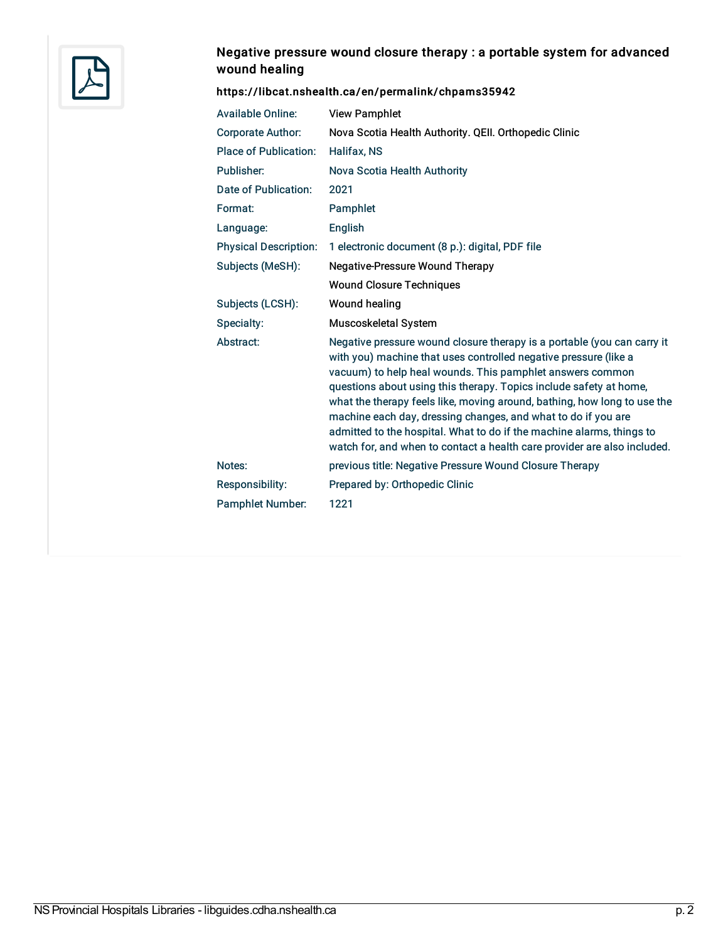

# Negative pressure wound closure therapy : a portable system for advanced wound healing

| <b>Available Online:</b>     | <b>View Pamphlet</b>                                                                                                                                                                                                                                                                                                                                                                                                                                                                                                                                                             |
|------------------------------|----------------------------------------------------------------------------------------------------------------------------------------------------------------------------------------------------------------------------------------------------------------------------------------------------------------------------------------------------------------------------------------------------------------------------------------------------------------------------------------------------------------------------------------------------------------------------------|
| <b>Corporate Author:</b>     | Nova Scotia Health Authority. QEII. Orthopedic Clinic                                                                                                                                                                                                                                                                                                                                                                                                                                                                                                                            |
| <b>Place of Publication:</b> | <b>Halifax, NS</b>                                                                                                                                                                                                                                                                                                                                                                                                                                                                                                                                                               |
| Publisher:                   | Nova Scotia Health Authority                                                                                                                                                                                                                                                                                                                                                                                                                                                                                                                                                     |
| Date of Publication:         | 2021                                                                                                                                                                                                                                                                                                                                                                                                                                                                                                                                                                             |
| Format:                      | Pamphlet                                                                                                                                                                                                                                                                                                                                                                                                                                                                                                                                                                         |
| Language:                    | English                                                                                                                                                                                                                                                                                                                                                                                                                                                                                                                                                                          |
| <b>Physical Description:</b> | 1 electronic document (8 p.): digital, PDF file                                                                                                                                                                                                                                                                                                                                                                                                                                                                                                                                  |
| Subjects (MeSH):             | <b>Negative-Pressure Wound Therapy</b>                                                                                                                                                                                                                                                                                                                                                                                                                                                                                                                                           |
|                              | <b>Wound Closure Techniques</b>                                                                                                                                                                                                                                                                                                                                                                                                                                                                                                                                                  |
| Subjects (LCSH):             | Wound healing                                                                                                                                                                                                                                                                                                                                                                                                                                                                                                                                                                    |
| Specialty:                   | Muscoskeletal System                                                                                                                                                                                                                                                                                                                                                                                                                                                                                                                                                             |
| Abstract:                    | Negative pressure wound closure therapy is a portable (you can carry it<br>with you) machine that uses controlled negative pressure (like a<br>vacuum) to help heal wounds. This pamphlet answers common<br>questions about using this therapy. Topics include safety at home,<br>what the therapy feels like, moving around, bathing, how long to use the<br>machine each day, dressing changes, and what to do if you are<br>admitted to the hospital. What to do if the machine alarms, things to<br>watch for, and when to contact a health care provider are also included. |
| Notes:                       | previous title: Negative Pressure Wound Closure Therapy                                                                                                                                                                                                                                                                                                                                                                                                                                                                                                                          |
| Responsibility:              | Prepared by: Orthopedic Clinic                                                                                                                                                                                                                                                                                                                                                                                                                                                                                                                                                   |
| <b>Pamphlet Number:</b>      | 1221                                                                                                                                                                                                                                                                                                                                                                                                                                                                                                                                                                             |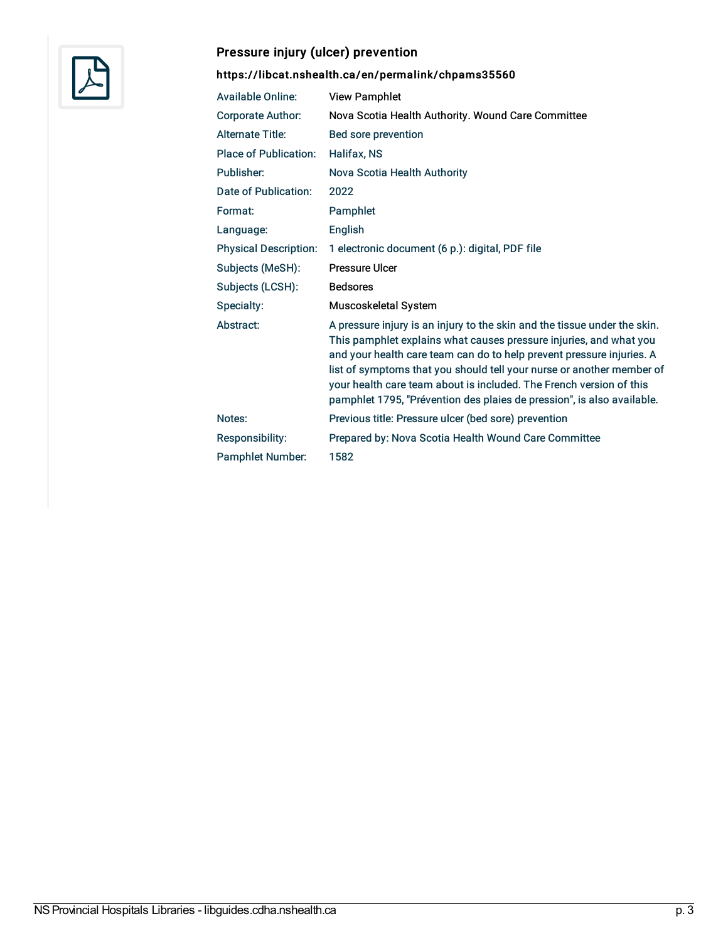

# Pressure injury (ulcer) prevention

| <b>Available Online:</b>     | <b>View Pamphlet</b>                                                                                                                                                                                                                                                                                                                                                                                                                               |
|------------------------------|----------------------------------------------------------------------------------------------------------------------------------------------------------------------------------------------------------------------------------------------------------------------------------------------------------------------------------------------------------------------------------------------------------------------------------------------------|
| <b>Corporate Author:</b>     | Nova Scotia Health Authority. Wound Care Committee                                                                                                                                                                                                                                                                                                                                                                                                 |
| <b>Alternate Title:</b>      | Bed sore prevention                                                                                                                                                                                                                                                                                                                                                                                                                                |
| <b>Place of Publication:</b> | Halifax, NS                                                                                                                                                                                                                                                                                                                                                                                                                                        |
| Publisher:                   | Nova Scotia Health Authority                                                                                                                                                                                                                                                                                                                                                                                                                       |
| Date of Publication:         | 2022                                                                                                                                                                                                                                                                                                                                                                                                                                               |
| Format:                      | Pamphlet                                                                                                                                                                                                                                                                                                                                                                                                                                           |
| Language:                    | English                                                                                                                                                                                                                                                                                                                                                                                                                                            |
| <b>Physical Description:</b> | 1 electronic document (6 p.): digital, PDF file                                                                                                                                                                                                                                                                                                                                                                                                    |
| Subjects (MeSH):             | <b>Pressure Ulcer</b>                                                                                                                                                                                                                                                                                                                                                                                                                              |
| Subjects (LCSH):             | <b>Bedsores</b>                                                                                                                                                                                                                                                                                                                                                                                                                                    |
| Specialty:                   | Muscoskeletal System                                                                                                                                                                                                                                                                                                                                                                                                                               |
| Abstract:                    | A pressure injury is an injury to the skin and the tissue under the skin.<br>This pamphlet explains what causes pressure injuries, and what you<br>and your health care team can do to help prevent pressure injuries. A<br>list of symptoms that you should tell your nurse or another member of<br>your health care team about is included. The French version of this<br>pamphlet 1795, "Prévention des plaies de pression", is also available. |
| Notes:                       | Previous title: Pressure ulcer (bed sore) prevention                                                                                                                                                                                                                                                                                                                                                                                               |
| Responsibility:              | Prepared by: Nova Scotia Health Wound Care Committee                                                                                                                                                                                                                                                                                                                                                                                               |
| <b>Pamphlet Number:</b>      | 1582                                                                                                                                                                                                                                                                                                                                                                                                                                               |